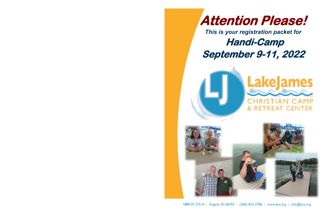

1880 W 275 N | Angola, IN 46703 | (260) 833-2786 | www.ljca.org | info@ljca.org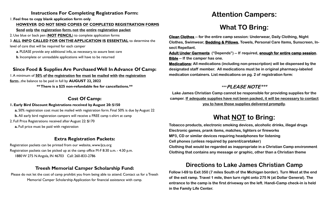## **Instructions For Completing Registration Form:**

1. **Feel free to copy blank application form only**.

## **HOWEVER**: **DO NOT SEND COPIES OF COMPLETED REGISTRATION FORMS**

 **Send only the registration form, not the entire registration packet**

- **a**. PLEASE provide any additional info, as necessary, to assure best care
- **b**. Incomplete or unreadable applications will have to be returned

2. Use blue or back pen (**NOT PENCIL**) to complete application forms

3. **ALL INFO CALLED FOR ONTHE APPLICATION IS ESSENTIAL** to determine the

level of care that will be required for each camper

## **Since Food & Supplies Are Purchased Well In Advance Of Camp:**

1. A minimum of **50% of the registration fee must be mailed with the registration form**...the balance to be paid in full by **AUGUST 22, 2022 \*\* There is a \$25 non-refundable fee for cancellations.\*\***

## **Cost Of Camp:**

## **1. Early Bird Discount Registrations received by August 20: \$150**

**a.** 50% registration cost must be mailed with registration form. Final 50% is due by August 22

- **b.** All early bird registration campers will receive a FREE camp t-shirt at camp
- 2. Full Price Registrations received after August 22: \$170
	- **a.** Full price must be paid with registration

## **Extra Registration Packets:**

Registration packets can be printed from our website, www.ljca.org Registration packets can be picked up at the camp office M-F 8:30 a.m. - 4:30 p.m. 1880 W 275 N Angola, IN 46703 Call: 260-833-2786

## **Treesh Memorial Camper Scholarship Fund:**

Please do not let the cost of camp prohibit you from being able to attend. Contact us for a Treesh Memorial Camper Scholarship Application for financial assistance with camp.

# **Attention Campers:**

# **What TO Bring:**

**Clean Clothes -- for the entire camp session: Underwear, Daily Clothing, Night Clothes, Swimwear, Bedding & Pillows, Towels, Personal Care Items, Sunscreen, Insect Repellant.** 

**Adult Under Garments ("Depends") -- If required, enough for entire camp session. Bible -- If the camper has one.**

**Medications: All medications (including non-prescription) will be dispensed by the designated staff member. All medications must be in original pharmacy-labeled medication containers. List medications on pg. 2 of registration form:**

## **\*\*\*PLEASE NOTE\*\*\***

**Lake James Christian Camp cannot be responsible for providing supplies for the camper. If adequate supplies have not been packed, it will be necessary to contact you to have those supplies delivered promptly.**

# **What NOT to Bring:**

**Tobacco products, electronic smoking devices, alcoholic drinks, illegal drugs Electronic games, prank items, matches, lighters or fireworks MP3, CD or similar devices requiring headphones for listening Cell phones (unless required by parent/caretaker) Clothing that would be regarded as inappropriate in a Christian Camp environment Clothing that contains any message or graphic, other than a Christian theme**

## **Directions to Lake James Christian Camp**

**Follow I-69 to Exit 350 (7 miles South of the Michigan border). Turn West at the end of the exit ramp. Travel 1 mile, then turn right onto 275 N (at Dollar General). The entrance to the camp is the first driveway on the left. Handi-Camp check-in is held in the Family Life Center.**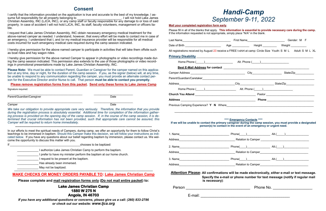# *Handi-Camp September 9-11, 2022*

### **Mail your completed registration form early**.

Please fill in all of the blanks that apply. **This information is essential to provide necessary care during the camp.**

|                                                                                                                   |                                                                             |  | Gender: M F |  |
|-------------------------------------------------------------------------------------------------------------------|-----------------------------------------------------------------------------|--|-------------|--|
|                                                                                                                   |                                                                             |  |             |  |
| All registrations received by August 23 receive a FREE t-shirt at camp: Circle Size Youth: S M L Adult: S M L XL  |                                                                             |  |             |  |
| <u>Primary Disability</u>                                                                                         |                                                                             |  |             |  |
|                                                                                                                   |                                                                             |  |             |  |
|                                                                                                                   |                                                                             |  |             |  |
|                                                                                                                   |                                                                             |  |             |  |
|                                                                                                                   |                                                                             |  |             |  |
|                                                                                                                   |                                                                             |  |             |  |
| Home Phone ( ) Alt. Phone ( )                                                                                     |                                                                             |  |             |  |
|                                                                                                                   |                                                                             |  |             |  |
|                                                                                                                   |                                                                             |  |             |  |
| If we will be unable to contact the primary caregiver during the camp session, you must provide a designated      | **** Emergency Contacts ****                                                |  |             |  |
|                                                                                                                   | person(s) to contact in the event of an emergency or urgent need.           |  |             |  |
|                                                                                                                   |                                                                             |  |             |  |
|                                                                                                                   |                                                                             |  |             |  |
|                                                                                                                   |                                                                             |  |             |  |
|                                                                                                                   |                                                                             |  |             |  |
|                                                                                                                   |                                                                             |  |             |  |
| 3. Name Alt.(__) Alt.(__) Alt.(__)                                                                                |                                                                             |  |             |  |
| Attention Please: All confirmations will be made electronically, either e-mail or text message.<br>is necessary): | Specify the e-mail or phone number for text message (notify if regular mail |  |             |  |

| egistrations received by August 23 receive a FREE t-shirt at camp: Circle Size Youth: S M L Adult: S M L XL      |                                                                             |  |  |  |
|------------------------------------------------------------------------------------------------------------------|-----------------------------------------------------------------------------|--|--|--|
|                                                                                                                  |                                                                             |  |  |  |
|                                                                                                                  |                                                                             |  |  |  |
|                                                                                                                  |                                                                             |  |  |  |
|                                                                                                                  |                                                                             |  |  |  |
|                                                                                                                  |                                                                             |  |  |  |
|                                                                                                                  |                                                                             |  |  |  |
| Home Phone ( ) Alt. Phone ( )                                                                                    |                                                                             |  |  |  |
|                                                                                                                  |                                                                             |  |  |  |
|                                                                                                                  |                                                                             |  |  |  |
|                                                                                                                  | **** Emergency Contacts ****                                                |  |  |  |
|                                                                                                                  | person(s) to contact in the event of an emergency or urgent need.           |  |  |  |
|                                                                                                                  |                                                                             |  |  |  |
|                                                                                                                  |                                                                             |  |  |  |
|                                                                                                                  |                                                                             |  |  |  |
|                                                                                                                  |                                                                             |  |  |  |
|                                                                                                                  |                                                                             |  |  |  |
| we will be unable to contact the primary caregiver during the camp session, you must provide a designated        |                                                                             |  |  |  |
|                                                                                                                  |                                                                             |  |  |  |
| ttention Please: All confirmations will be made electronically, either e-mail or text message.<br>is necessary): | Specify the e-mail or phone number for text message (notify if regular mail |  |  |  |

| Person |              |  |  |
|--------|--------------|--|--|
|        | . <b>. .</b> |  |  |

## **Consent**

I certify that the information provided on the application is true and accurate to the best of my knowledge. I assume full responsibility for all property belonging to \_\_\_\_\_\_\_\_\_\_\_\_\_\_\_\_\_\_\_\_\_\_\_\_\_\_\_. I will not hold Lake James Christian Assembly, INC (LJCA, INC), or any camp staff or faculty responsible for any damage to or loss of said property. In case of accident I will not hold LJCA, INC, its staff, faculty volunteers, management or officers liable.

| authorize Lake James Christian Camp to perform the baptism.        |
|--------------------------------------------------------------------|
| prefer to have my minister perform the baptism at our home church. |
| I request to be present at the baptism.                            |
| Has already been immersed.                                         |

May not be baptized.

I request that Lake James Christian Assembly, INC obtain necessary emergency medical treatment for the above-named camper as needed. I understand, however, that every effort will be made to contact me in case of an emergency. I understand that I, and /or my medical insurance provider will be responsible for all medical costs incurred for such emergency medical care required during the camp session indicated.

I hereby give permission for the above named camper to participate in activities that will take them offsite such as boat rides and hay wagon rides.

I hereby give permission for the above named Camper to appear in photographs or video recordings made during the camp session indicated. This permission also extends to the use of those photographs or video recordings in promotional presentations made by Lake James Christian Assembly, INC.

**Please Note:** We must be able to contact Parent, Guardian or Caregiver for the camper named on this application at any time, day or night, for the duration of the camp session. If you, as the signer (below) will, at any time, be unable to respond to any communication regarding the camper, you must provide an alternate contact person for the Executive Director and/or Nurse to call. That person **must be able to contact you promptly**.

### **Please remove registration forms from this packet. Send only these forms to Lake James Camp**

Signature required:

Parent/Guardian/Caregiver Date

\_\_\_\_\_\_\_\_\_\_\_\_\_\_\_\_\_\_\_\_\_\_\_\_\_\_\_\_\_\_\_\_\_\_\_\_\_\_\_\_\_\_\_\_\_\_\_\_ \_\_\_\_\_\_\_\_\_\_\_\_\_\_\_\_\_\_\_\_\_\_\_\_\_

\_\_\_\_\_\_\_\_\_\_\_\_\_\_\_\_\_\_\_\_\_\_\_\_\_\_\_\_\_\_\_\_\_\_\_\_\_\_\_\_\_\_\_\_\_\_\_\_ \_\_\_\_\_\_\_\_\_\_\_\_\_\_\_\_\_\_\_\_\_\_\_\_\_

Camper Date

*We take our obligation to provide appropriate care very seriously. Therefore, the information that you provide during the registration process is absolutely essential. Additional time for completion of the information gathering process is provided on the opening day of the camp session. If, in the course of the camp session, it is determined that crucial information has not been provided, such that appropriate care cannot be assured, this Camper will be required to return home immediately.*

**----------------------------------------------------------------------------------------------------------------------------------------------------------**

| ×, |  |
|----|--|
|    |  |

chooses to be baptized:

In our efforts to meet the spiritual needs of Campers, during camp, we offer an opportunity for them to follow Christ's teachings to be immersed in baptism. Should this Camper make this decision, we will follow your instructions as indicated below. If you have any questions about our belief regarding baptism by immersion, please contact us. We welcome the opportunity to discuss this matter with you.

### ---------------------------------------------------------------------------------------------------------------------------------------------- **MAKE CHECKS OR MONEY ORDERS PAYABLE TO: Lake James Christian Camp**

**Please complete and mail registration forms only (Do not mail entire packet) to:**

### **Lake James Christian Camp 1880 W 275 N Angola, IN 46703**

*If you have any additional questions or concerns, please give us a call: (260) 833-2786 or check out our website: [www.ljca.org](http://www.powerministries.org/)*